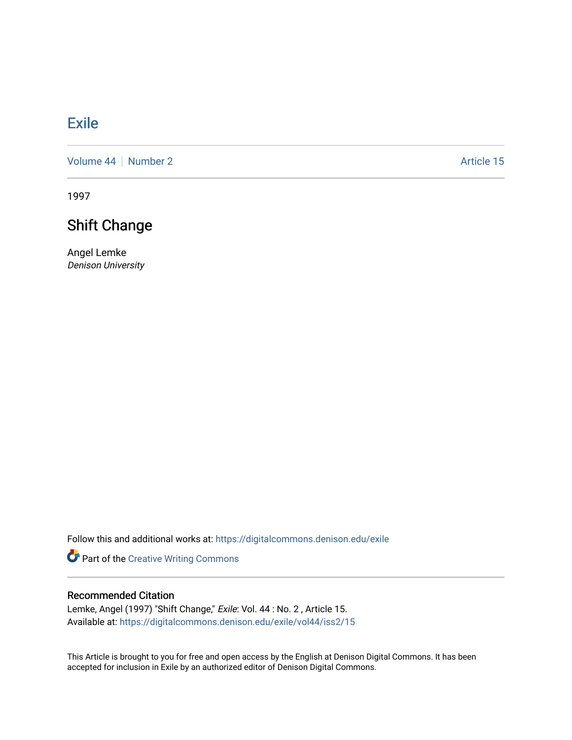## **[Exile](https://digitalcommons.denison.edu/exile)**

[Volume 44](https://digitalcommons.denison.edu/exile/vol44) | [Number 2](https://digitalcommons.denison.edu/exile/vol44/iss2) Article 15

1997

## Shift Change

Angel Lemke Denison University

Follow this and additional works at: [https://digitalcommons.denison.edu/exile](https://digitalcommons.denison.edu/exile?utm_source=digitalcommons.denison.edu%2Fexile%2Fvol44%2Fiss2%2F15&utm_medium=PDF&utm_campaign=PDFCoverPages) 

Part of the [Creative Writing Commons](http://network.bepress.com/hgg/discipline/574?utm_source=digitalcommons.denison.edu%2Fexile%2Fvol44%2Fiss2%2F15&utm_medium=PDF&utm_campaign=PDFCoverPages) 

## Recommended Citation

Lemke, Angel (1997) "Shift Change," Exile: Vol. 44 : No. 2 , Article 15. Available at: [https://digitalcommons.denison.edu/exile/vol44/iss2/15](https://digitalcommons.denison.edu/exile/vol44/iss2/15?utm_source=digitalcommons.denison.edu%2Fexile%2Fvol44%2Fiss2%2F15&utm_medium=PDF&utm_campaign=PDFCoverPages)

This Article is brought to you for free and open access by the English at Denison Digital Commons. It has been accepted for inclusion in Exile by an authorized editor of Denison Digital Commons.